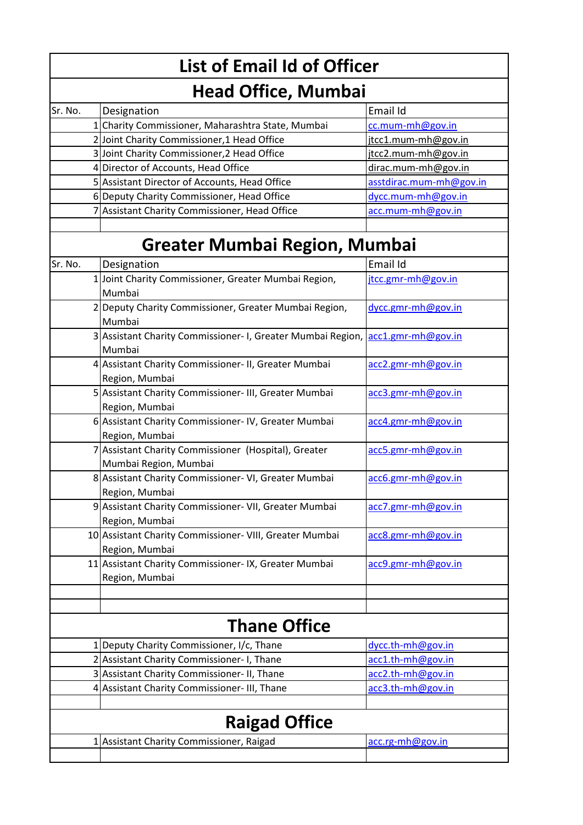|                            | <b>List of Email Id of Officer</b>                                            |                         |  |  |
|----------------------------|-------------------------------------------------------------------------------|-------------------------|--|--|
| <b>Head Office, Mumbai</b> |                                                                               |                         |  |  |
| Sr. No.                    | Designation                                                                   | Email Id                |  |  |
|                            | 1 Charity Commissioner, Maharashtra State, Mumbai                             | cc.mum-mh@gov.in        |  |  |
|                            | 2 Joint Charity Commissioner, 1 Head Office                                   | jtcc1.mum-mh@gov.in     |  |  |
|                            | 3 Joint Charity Commissioner, 2 Head Office                                   | jtcc2.mum-mh@gov.in     |  |  |
|                            | 4 Director of Accounts, Head Office                                           | dirac.mum-mh@gov.in     |  |  |
|                            | 5 Assistant Director of Accounts, Head Office                                 | asstdirac.mum-mh@gov.in |  |  |
|                            | 6 Deputy Charity Commissioner, Head Office                                    | dycc.mum-mh@gov.in      |  |  |
|                            | 7 Assistant Charity Commissioner, Head Office                                 | acc.mum-mh@gov.in       |  |  |
|                            |                                                                               |                         |  |  |
|                            | <b>Greater Mumbai Region, Mumbai</b>                                          |                         |  |  |
| Sr. No.                    | Designation                                                                   | Email Id                |  |  |
|                            | 1 Joint Charity Commissioner, Greater Mumbai Region,<br>Mumbai                | jtcc.gmr-mh@gov.in      |  |  |
|                            | 2 Deputy Charity Commissioner, Greater Mumbai Region,<br>Mumbai               | dycc.gmr-mh@gov.in      |  |  |
|                            | 3 Assistant Charity Commissioner- I, Greater Mumbai Region,<br>Mumbai         | acc1.gmr-mh@gov.in      |  |  |
|                            | 4 Assistant Charity Commissioner- II, Greater Mumbai<br>Region, Mumbai        | acc2.gmr-mh@gov.in      |  |  |
|                            | 5 Assistant Charity Commissioner- III, Greater Mumbai<br>Region, Mumbai       | acc3.gmr-mh@gov.in      |  |  |
|                            | 6 Assistant Charity Commissioner- IV, Greater Mumbai<br>Region, Mumbai        | acc4.gmr-mh@gov.in      |  |  |
|                            | 7 Assistant Charity Commissioner (Hospital), Greater<br>Mumbai Region, Mumbai | acc5.gmr-mh@gov.in      |  |  |
|                            | 8 Assistant Charity Commissioner- VI, Greater Mumbai<br>Region, Mumbai        | acc6.gmr-mh@gov.in      |  |  |
|                            | 9 Assistant Charity Commissioner- VII, Greater Mumbai<br>Region, Mumbai       | acc7.gmr-mh@gov.in      |  |  |
|                            | 10 Assistant Charity Commissioner- VIII, Greater Mumbai<br>Region, Mumbai     | acc8.gmr-mh@gov.in      |  |  |
|                            | 11 Assistant Charity Commissioner-IX, Greater Mumbai<br>Region, Mumbai        | acc9.gmr-mh@gov.in      |  |  |
|                            |                                                                               |                         |  |  |
|                            |                                                                               |                         |  |  |
|                            | <b>Thane Office</b>                                                           |                         |  |  |
|                            | 1 Deputy Charity Commissioner, I/c, Thane                                     | dycc.th-mh@gov.in       |  |  |
|                            | 2 Assistant Charity Commissioner- I, Thane                                    | acc1.th-mh@gov.in       |  |  |
|                            | 3 Assistant Charity Commissioner- II, Thane                                   | acc2.th-mh@gov.in       |  |  |
|                            | 4 Assistant Charity Commissioner- III, Thane                                  | acc3.th-mh@gov.in       |  |  |
|                            |                                                                               |                         |  |  |
| <b>Raigad Office</b>       |                                                                               |                         |  |  |
|                            | 1 Assistant Charity Commissioner, Raigad                                      | acc.rg-mh@gov.in        |  |  |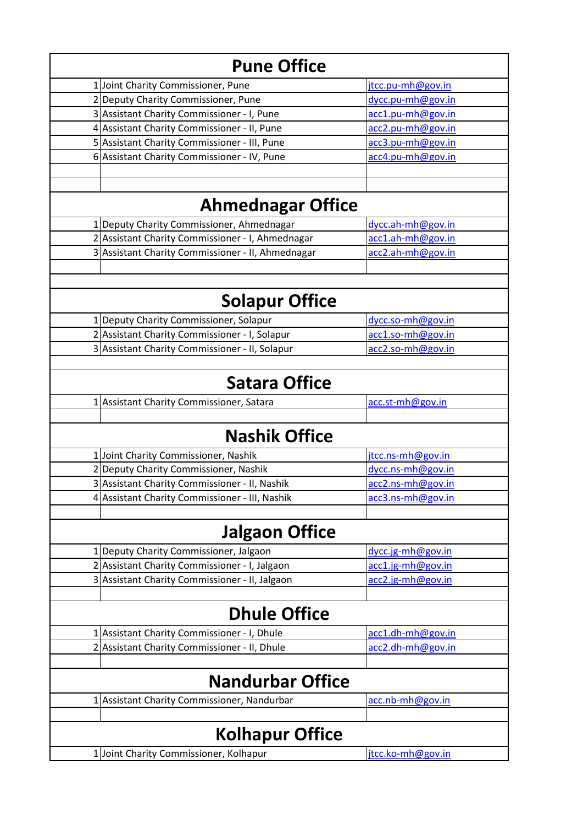| <b>Pune Office</b>      |                                                   |                   |  |
|-------------------------|---------------------------------------------------|-------------------|--|
|                         | 1 Joint Charity Commissioner, Pune                | jtcc.pu-mh@gov.in |  |
|                         | 2 Deputy Charity Commissioner, Pune               | dycc.pu-mh@gov.in |  |
|                         | 3 Assistant Charity Commissioner - I, Pune        | acc1.pu-mh@gov.in |  |
|                         | 4 Assistant Charity Commissioner - II, Pune       | acc2.pu-mh@gov.in |  |
|                         | 5 Assistant Charity Commissioner - III, Pune      | acc3.pu-mh@gov.in |  |
|                         | 6 Assistant Charity Commissioner - IV, Pune       | acc4.pu-mh@gov.in |  |
|                         |                                                   |                   |  |
|                         | <b>Ahmednagar Office</b>                          |                   |  |
|                         | 1 Deputy Charity Commissioner, Ahmednagar         | dycc.ah-mh@gov.in |  |
|                         | 2 Assistant Charity Commissioner - I, Ahmednagar  | acc1.ah-mh@gov.in |  |
|                         | 3 Assistant Charity Commissioner - II, Ahmednagar | acc2.ah-mh@gov.in |  |
|                         |                                                   |                   |  |
|                         |                                                   |                   |  |
|                         | <b>Solapur Office</b>                             |                   |  |
|                         | 1 Deputy Charity Commissioner, Solapur            | dycc.so-mh@gov.in |  |
|                         | 2 Assistant Charity Commissioner - I, Solapur     | acc1.so-mh@gov.in |  |
|                         | 3 Assistant Charity Commissioner - II, Solapur    | acc2.so-mh@gov.in |  |
|                         |                                                   |                   |  |
|                         | <b>Satara Office</b>                              |                   |  |
|                         | 1 Assistant Charity Commissioner, Satara          | acc.st-mh@gov.in  |  |
|                         |                                                   |                   |  |
|                         | <b>Nashik Office</b>                              |                   |  |
|                         | 1 Joint Charity Commissioner, Nashik              | jtcc.ns-mh@gov.in |  |
|                         | 2 Deputy Charity Commissioner, Nashik             | dycc.ns-mh@gov.in |  |
|                         | 3 Assistant Charity Commissioner - II, Nashik     | acc2.ns-mh@gov.in |  |
|                         | 4 Assistant Charity Commissioner - III, Nashik    | acc3.ns-mh@gov.in |  |
| <b>Jalgaon Office</b>   |                                                   |                   |  |
|                         | 1 Deputy Charity Commissioner, Jalgaon            | dycc.jg-mh@gov.in |  |
|                         | 2 Assistant Charity Commissioner - I, Jalgaon     | acc1.jg-mh@gov.in |  |
|                         | 3 Assistant Charity Commissioner - II, Jalgaon    | acc2.jg-mh@gov.in |  |
|                         |                                                   |                   |  |
| <b>Dhule Office</b>     |                                                   |                   |  |
|                         | 1 Assistant Charity Commissioner - I, Dhule       | acc1.dh-mh@gov.in |  |
|                         | 2 Assistant Charity Commissioner - II, Dhule      | acc2.dh-mh@gov.in |  |
|                         |                                                   |                   |  |
| <b>Nandurbar Office</b> |                                                   |                   |  |
|                         | 1 Assistant Charity Commissioner, Nandurbar       | acc.nb-mh@gov.in  |  |
|                         |                                                   |                   |  |
| <b>Kolhapur Office</b>  |                                                   |                   |  |
|                         | 1 Joint Charity Commissioner, Kolhapur            | jtcc.ko-mh@gov.in |  |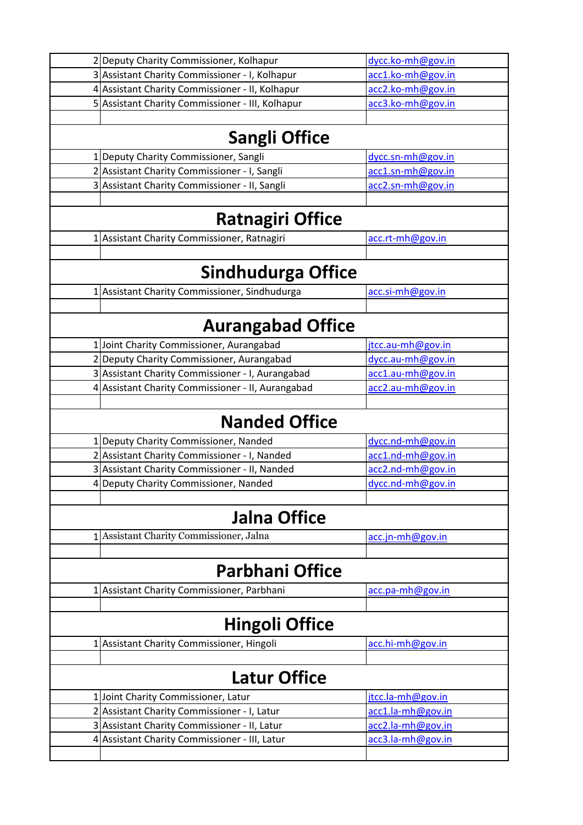|                       | 2 Deputy Charity Commissioner, Kolhapur           | dycc.ko-mh@gov.in |  |
|-----------------------|---------------------------------------------------|-------------------|--|
|                       | 3 Assistant Charity Commissioner - I, Kolhapur    | acc1.ko-mh@gov.in |  |
|                       | 4 Assistant Charity Commissioner - II, Kolhapur   | acc2.ko-mh@gov.in |  |
|                       |                                                   |                   |  |
|                       | 5 Assistant Charity Commissioner - III, Kolhapur  | acc3.ko-mh@gov.in |  |
|                       |                                                   |                   |  |
|                       | <b>Sangli Office</b>                              |                   |  |
|                       | 1 Deputy Charity Commissioner, Sangli             | dycc.sn-mh@gov.in |  |
|                       | 2 Assistant Charity Commissioner - I, Sangli      | acc1.sn-mh@gov.in |  |
|                       | 3 Assistant Charity Commissioner - II, Sangli     | acc2.sn-mh@gov.in |  |
|                       |                                                   |                   |  |
|                       | <b>Ratnagiri Office</b>                           |                   |  |
|                       | 1 Assistant Charity Commissioner, Ratnagiri       | acc.rt-mh@gov.in  |  |
|                       |                                                   |                   |  |
|                       | Sindhudurga Office                                |                   |  |
|                       | 1 Assistant Charity Commissioner, Sindhudurga     | acc.si-mh@gov.in  |  |
|                       |                                                   |                   |  |
|                       | <b>Aurangabad Office</b>                          |                   |  |
|                       | 1 Joint Charity Commissioner, Aurangabad          | jtcc.au-mh@gov.in |  |
|                       | 2 Deputy Charity Commissioner, Aurangabad         | dycc.au-mh@gov.in |  |
|                       | 3 Assistant Charity Commissioner - I, Aurangabad  | acc1.au-mh@gov.in |  |
|                       | 4 Assistant Charity Commissioner - II, Aurangabad | acc2.au-mh@gov.in |  |
|                       |                                                   |                   |  |
|                       | <b>Nanded Office</b>                              |                   |  |
|                       | 1 Deputy Charity Commissioner, Nanded             | dycc.nd-mh@gov.in |  |
|                       | 2 Assistant Charity Commissioner - I, Nanded      | acc1.nd-mh@gov.in |  |
|                       | 3 Assistant Charity Commissioner - II, Nanded     | acc2.nd-mh@gov.in |  |
|                       | 4 Deputy Charity Commissioner, Nanded             | dycc.nd-mh@gov.in |  |
|                       |                                                   |                   |  |
|                       | <b>Jalna Office</b>                               |                   |  |
|                       | 1 Assistant Charity Commissioner, Jalna           | acc.jn-mh@gov.in  |  |
|                       |                                                   |                   |  |
|                       | <b>Parbhani Office</b>                            |                   |  |
|                       | 1 Assistant Charity Commissioner, Parbhani        | acc.pa-mh@gov.in  |  |
|                       |                                                   |                   |  |
| <b>Hingoli Office</b> |                                                   |                   |  |
|                       | 1 Assistant Charity Commissioner, Hingoli         | acc.hi-mh@gov.in  |  |
|                       |                                                   |                   |  |
| <b>Latur Office</b>   |                                                   |                   |  |
|                       | 1 Joint Charity Commissioner, Latur               | jtcc.la-mh@gov.in |  |
|                       | 2 Assistant Charity Commissioner - I, Latur       | acc1.la-mh@gov.in |  |
|                       | 3 Assistant Charity Commissioner - II, Latur      | acc2.la-mh@gov.in |  |
|                       | 4 Assistant Charity Commissioner - III, Latur     | acc3.la-mh@gov.in |  |
|                       |                                                   |                   |  |
|                       |                                                   |                   |  |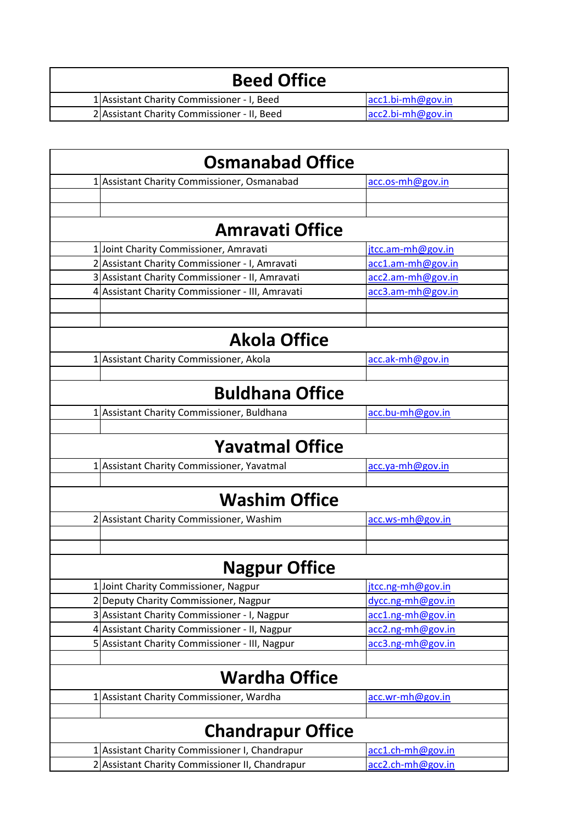| <b>Beed Office</b> |                                             |                      |
|--------------------|---------------------------------------------|----------------------|
|                    | 1 Assistant Charity Commissioner - I, Beed  | $ acc1.bi-mh@gov.in$ |
|                    | 2 Assistant Charity Commissioner - II, Beed | acc2.bi-mh@gov.in    |

| <b>Osmanabad Office</b>                          |                   |
|--------------------------------------------------|-------------------|
| 1 Assistant Charity Commissioner, Osmanabad      | acc.os-mh@gov.in  |
|                                                  |                   |
| <b>Amravati Office</b>                           |                   |
| 1 Joint Charity Commissioner, Amravati           | jtcc.am-mh@gov.in |
| 2 Assistant Charity Commissioner - I, Amravati   | acc1.am-mh@gov.in |
| 3 Assistant Charity Commissioner - II, Amravati  | acc2.am-mh@gov.in |
| 4 Assistant Charity Commissioner - III, Amravati | acc3.am-mh@gov.in |
|                                                  |                   |
| <b>Akola Office</b>                              |                   |
| 1 Assistant Charity Commissioner, Akola          | acc.ak-mh@gov.in  |
| <b>Buldhana Office</b>                           |                   |
| 1 Assistant Charity Commissioner, Buldhana       | acc.bu-mh@gov.in  |
| <b>Yavatmal Office</b>                           |                   |
| 1 Assistant Charity Commissioner, Yavatmal       | acc.ya-mh@gov.in  |
| <b>Washim Office</b>                             |                   |
| 2 Assistant Charity Commissioner, Washim         | acc.ws-mh@gov.in  |
|                                                  |                   |
| <b>Nagpur Office</b>                             |                   |
| 1 Joint Charity Commissioner, Nagpur             | jtcc.ng-mh@gov.in |
| 2 Deputy Charity Commissioner, Nagpur            | dycc.ng-mh@gov.in |
| 3 Assistant Charity Commissioner - I, Nagpur     | acc1.ng-mh@gov.in |
| 4 Assistant Charity Commissioner - II, Nagpur    | acc2.ng-mh@gov.in |
| 5 Assistant Charity Commissioner - III, Nagpur   | acc3.ng-mh@gov.in |
| <b>Wardha Office</b>                             |                   |
| 1 Assistant Charity Commissioner, Wardha         | acc.wr-mh@gov.in  |
| <b>Chandrapur Office</b>                         |                   |
|                                                  |                   |
| 1 Assistant Charity Commissioner I, Chandrapur   | acc1.ch-mh@gov.in |